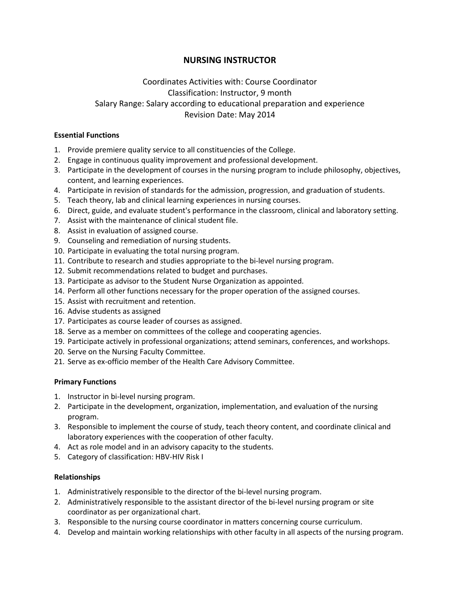## **NURSING INSTRUCTOR**

# Coordinates Activities with: Course Coordinator Classification: Instructor, 9 month Salary Range: Salary according to educational preparation and experience Revision Date: May 2014

#### **Essential Functions**

- 1. Provide premiere quality service to all constituencies of the College.
- 2. Engage in continuous quality improvement and professional development.
- 3. Participate in the development of courses in the nursing program to include philosophy, objectives, content, and learning experiences.
- 4. Participate in revision of standards for the admission, progression, and graduation of students.
- 5. Teach theory, lab and clinical learning experiences in nursing courses.
- 6. Direct, guide, and evaluate student's performance in the classroom, clinical and laboratory setting.
- 7. Assist with the maintenance of clinical student file.
- 8. Assist in evaluation of assigned course.
- 9. Counseling and remediation of nursing students.
- 10. Participate in evaluating the total nursing program.
- 11. Contribute to research and studies appropriate to the bi-level nursing program.
- 12. Submit recommendations related to budget and purchases.
- 13. Participate as advisor to the Student Nurse Organization as appointed.
- 14. Perform all other functions necessary for the proper operation of the assigned courses.
- 15. Assist with recruitment and retention.
- 16. Advise students as assigned
- 17. Participates as course leader of courses as assigned.
- 18. Serve as a member on committees of the college and cooperating agencies.
- 19. Participate actively in professional organizations; attend seminars, conferences, and workshops.
- 20. Serve on the Nursing Faculty Committee.
- 21. Serve as ex-officio member of the Health Care Advisory Committee.

#### **Primary Functions**

- 1. Instructor in bi-level nursing program.
- 2. Participate in the development, organization, implementation, and evaluation of the nursing program.
- 3. Responsible to implement the course of study, teach theory content, and coordinate clinical and laboratory experiences with the cooperation of other faculty.
- 4. Act as role model and in an advisory capacity to the students.
- 5. Category of classification: HBV-HIV Risk I

#### **Relationships**

- 1. Administratively responsible to the director of the bi-level nursing program.
- 2. Administratively responsible to the assistant director of the bi-level nursing program or site coordinator as per organizational chart.
- 3. Responsible to the nursing course coordinator in matters concerning course curriculum.
- 4. Develop and maintain working relationships with other faculty in all aspects of the nursing program.